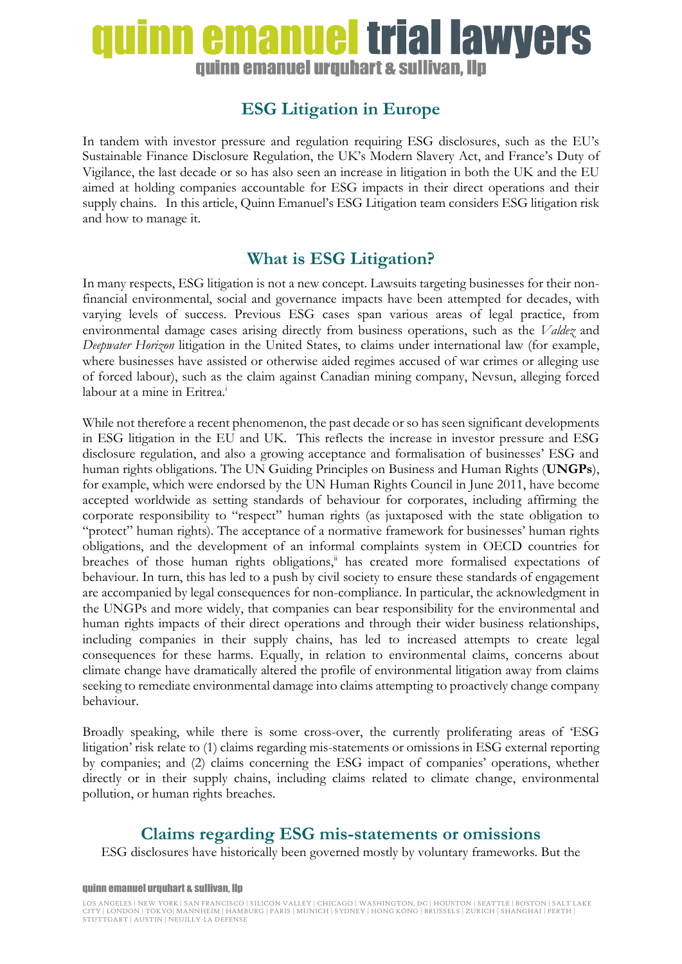# uinn emanuel trial lawyers quinn emanuel urquhart & sullivan, llp

## **ESG Litigation in Europe**

In tandem with investor pressure and regulation requiring ESG disclosures, such as the EU's Sustainable Finance Disclosure Regulation, the UK's Modern Slavery Act, and France's Duty of Vigilance, the last decade or so has also seen an increase in litigation in both the UK and the EU aimed at holding companies accountable for ESG impacts in their direct operations and their supply chains. In this article, Quinn Emanuel's ESG Litigation team considers ESG litigation risk and how to manage it.

## **What is ESG Litigation?**

In many respects, ESG litigation is not a new concept. Lawsuits targeting businesses for their nonfinancial environmental, social and governance impacts have been attempted for decades, with varying levels of success. Previous ESG cases span various areas of legal practice, from environmental damage cases arising directly from business operations, such as the *Valdez* and *Deepwater Horizon* litigation in the United States, to claims under international law (for example, where businesses have assisted or otherwise aided regimes accused of war crimes or alleging use of forced labour), such as the claim against Canadian mining company, Nevsun, alleging forced labour at a mine in Eritrea.<sup>i</sup>

While not therefore a recent phenomenon, the past decade or so has seen significant developments in ESG litigation in the EU and UK. This reflects the increase in investor pressure and ESG disclosure regulation, and also a growing acceptance and formalisation of businesses' ESG and human rights obligations. The UN Guiding Principles on Business and Human Rights (**UNGPs**), for example, which were endorsed by the UN Human Rights Council in June 2011, have become accepted worldwide as setting standards of behaviour for corporates, including affirming the corporate responsibility to "respect" human rights (as juxtaposed with the state obligation to "protect" human rights). The acceptance of a normative framework for businesses' human rights obligations, and the development of an informal complaints system in OECD countries for breaches of those human rights obligations, $\ddot{u}$  has created more formalised expectations of behaviour. In turn, this has led to a push by civil society to ensure these standards of engagement are accompanied by legal consequences for non-compliance. In particular, the acknowledgment in the UNGPs and more widely, that companies can bear responsibility for the environmental and human rights impacts of their direct operations and through their wider business relationships, including companies in their supply chains, has led to increased attempts to create legal consequences for these harms. Equally, in relation to environmental claims, concerns about climate change have dramatically altered the profile of environmental litigation away from claims seeking to remediate environmental damage into claims attempting to proactively change company behaviour.

Broadly speaking, while there is some cross-over, the currently proliferating areas of 'ESG litigation' risk relate to (1) claims regarding mis-statements or omissions in ESG external reporting by companies; and (2) claims concerning the ESG impact of companies' operations, whether directly or in their supply chains, including claims related to climate change, environmental pollution, or human rights breaches.

### **Claims regarding ESG mis-statements or omissions**

ESG disclosures have historically been governed mostly by voluntary frameworks. But the

#### quinn emanuel urquhart & sullivan, llp

LOS ANGELES | NEW YORK | SAN FRANCISCO | SILICON VALLEY | CHICAGO | WASHINGTON, DC | HOUSTON | SEATTLE | BOSTON | SALT LAKE CITY | LONDON | TOKYO| MANNHEIM | HAMBURG | PARIS | MUNICH | SYDNEY | HONG KONG | BRUSSELS | ZURICH | SHANGHAI | PERTH | STUTTGART | AUSTIN | NEUILLY-LA DEFENSE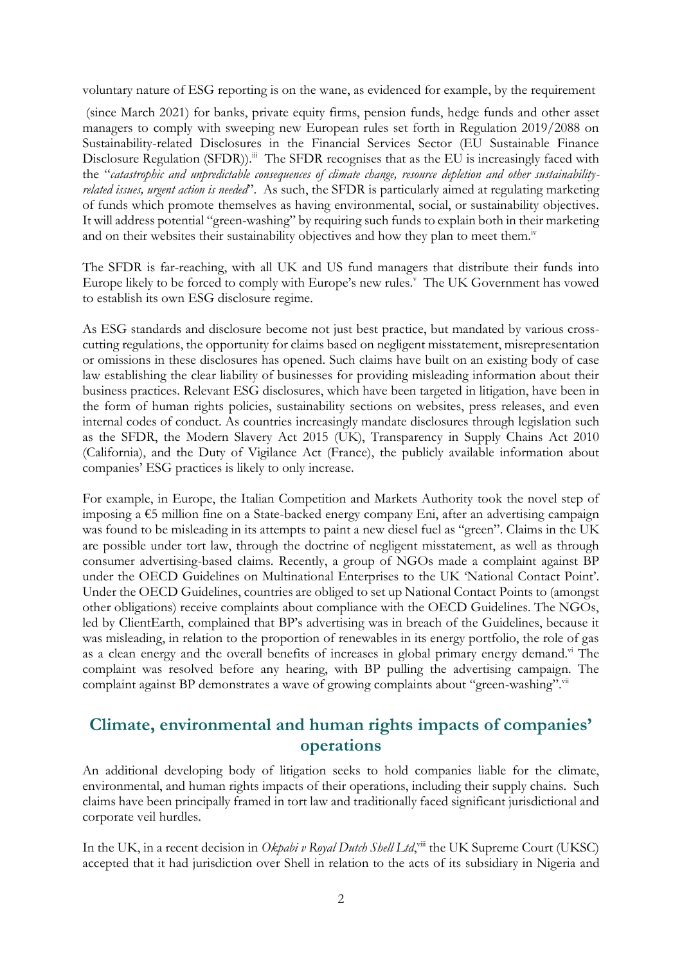voluntary nature of ESG reporting is on the wane, as evidenced for example, by the requirement

(since March 2021) for banks, private equity firms, pension funds, hedge funds and other asset managers to comply with sweeping new European rules set forth in Regulation 2019/2088 on Sustainability-related Disclosures in the Financial Services Sector (EU Sustainable Finance Disclosure Regulation (SFDR)).<sup>iii</sup> The SFDR recognises that as the EU is increasingly faced with the "*catastrophic and unpredictable consequences of climate change, resource depletion and other sustainabilityrelated issues, urgent action is needed*". As such, the SFDR is particularly aimed at regulating marketing of funds which promote themselves as having environmental, social, or sustainability objectives. It will address potential "green-washing" by requiring such funds to explain both in their marketing and on their websites their sustainability objectives and how they plan to meet them.<sup>iv</sup>

The SFDR is far-reaching, with all UK and US fund managers that distribute their funds into Europe likely to be forced to comply with Europe's new rules.<sup>v</sup> The UK Government has vowed to establish its own ESG disclosure regime.

As ESG standards and disclosure become not just best practice, but mandated by various crosscutting regulations, the opportunity for claims based on negligent misstatement, misrepresentation or omissions in these disclosures has opened. Such claims have built on an existing body of case law establishing the clear liability of businesses for providing misleading information about their business practices. Relevant ESG disclosures, which have been targeted in litigation, have been in the form of human rights policies, sustainability sections on websites, press releases, and even internal codes of conduct. As countries increasingly mandate disclosures through legislation such as the SFDR, the Modern Slavery Act 2015 (UK), Transparency in Supply Chains Act 2010 (California), and the Duty of Vigilance Act (France), the publicly available information about companies' ESG practices is likely to only increase.

For example, in Europe, the Italian Competition and Markets Authority took the novel step of imposing a  $\epsilon$ 5 million fine on a State-backed energy company Eni, after an advertising campaign was found to be misleading in its attempts to paint a new diesel fuel as "green". Claims in the UK are possible under tort law, through the doctrine of negligent misstatement, as well as through consumer advertising-based claims. Recently, a group of NGOs made a complaint against BP under the OECD Guidelines on Multinational Enterprises to the UK 'National Contact Point'. Under the OECD Guidelines, countries are obliged to set up National Contact Points to (amongst other obligations) receive complaints about compliance with the OECD Guidelines. The NGOs, led by ClientEarth, complained that BP's advertising was in breach of the Guidelines, because it was misleading, in relation to the proportion of renewables in its energy portfolio, the role of gas as a clean energy and the overall benefits of increases in global primary energy demand.<sup>vi</sup> The complaint was resolved before any hearing, with BP pulling the advertising campaign. The complaint against BP demonstrates a wave of growing complaints about "green-washing".<sup>vii</sup>

### **Climate, environmental and human rights impacts of companies' operations**

An additional developing body of litigation seeks to hold companies liable for the climate, environmental, and human rights impacts of their operations, including their supply chains. Such claims have been principally framed in tort law and traditionally faced significant jurisdictional and corporate veil hurdles.

In the UK, in a recent decision in *Okpabi v Royal Dutch Shell Ltd*, viii the UK Supreme Court (UKSC) accepted that it had jurisdiction over Shell in relation to the acts of its subsidiary in Nigeria and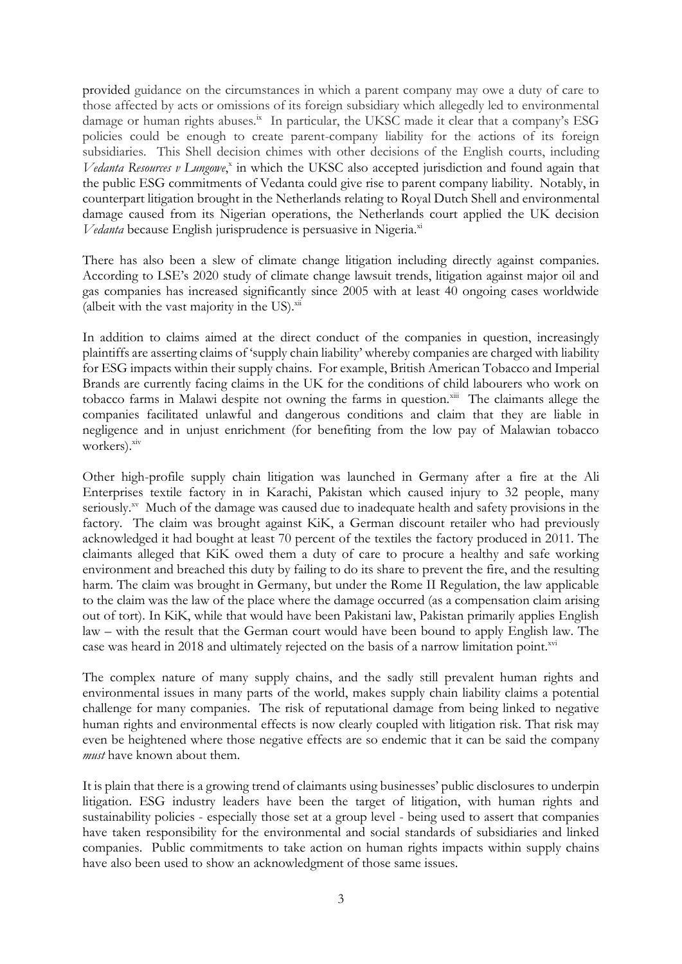provided guidance on the circumstances in which a parent company may owe a duty of care to those affected by acts or omissions of its foreign subsidiary which allegedly led to environmental damage or human rights abuses.<sup>ix</sup> In particular, the UKSC made it clear that a company's ESG policies could be enough to create parent-company liability for the actions of its foreign subsidiaries. This Shell decision chimes with other decisions of the English courts, including Vedanta Resources v Lungowe,<sup>x</sup> in which the UKSC also accepted jurisdiction and found again that the public ESG commitments of Vedanta could give rise to parent company liability. Notably, in counterpart litigation brought in the Netherlands relating to Royal Dutch Shell and environmental damage caused from its Nigerian operations, the Netherlands court applied the UK decision *Vedanta* because English jurisprudence is persuasive in Nigeria.<sup>xi</sup>

There has also been a slew of climate change litigation including directly against companies. According to LSE's 2020 study of climate change lawsuit trends, litigation against major oil and gas companies has increased significantly since 2005 with at least 40 ongoing cases worldwide (albeit with the vast majority in the US). $\frac{x^{ii}}{i}$ 

In addition to claims aimed at the direct conduct of the companies in question, increasingly plaintiffs are asserting claims of 'supply chain liability' whereby companies are charged with liability for ESG impacts within their supply chains. For example, British American Tobacco and Imperial Brands are currently facing claims in the UK for the conditions of child labourers who work on tobacco farms in Malawi despite not owning the farms in question.<sup>xiii</sup> The claimants allege the companies facilitated unlawful and dangerous conditions and claim that they are liable in negligence and in unjust enrichment (for benefiting from the low pay of Malawian tobacco workers).<sup>xiv</sup>

Other high-profile supply chain litigation was launched in Germany after a fire at the Ali Enterprises textile factory in in Karachi, Pakistan which caused injury to 32 people, many seriously.<sup>xv</sup> Much of the damage was caused due to inadequate health and safety provisions in the factory. The claim was brought against KiK, a German discount retailer who had previously acknowledged it had bought at least 70 percent of the textiles the factory produced in 2011. The claimants alleged that KiK owed them a duty of care to procure a healthy and safe working environment and breached this duty by failing to do its share to prevent the fire, and the resulting harm. The claim was brought in Germany, but under the Rome II Regulation, the law applicable to the claim was the law of the place where the damage occurred (as a compensation claim arising out of tort). In KiK, while that would have been Pakistani law, Pakistan primarily applies English law – with the result that the German court would have been bound to apply English law. The case was heard in 2018 and ultimately rejected on the basis of a narrow limitation point.<sup>xvi</sup>

The complex nature of many supply chains, and the sadly still prevalent human rights and environmental issues in many parts of the world, makes supply chain liability claims a potential challenge for many companies. The risk of reputational damage from being linked to negative human rights and environmental effects is now clearly coupled with litigation risk. That risk may even be heightened where those negative effects are so endemic that it can be said the company *must* have known about them.

It is plain that there is a growing trend of claimants using businesses' public disclosures to underpin litigation. ESG industry leaders have been the target of litigation, with human rights and sustainability policies - especially those set at a group level - being used to assert that companies have taken responsibility for the environmental and social standards of subsidiaries and linked companies. Public commitments to take action on human rights impacts within supply chains have also been used to show an acknowledgment of those same issues.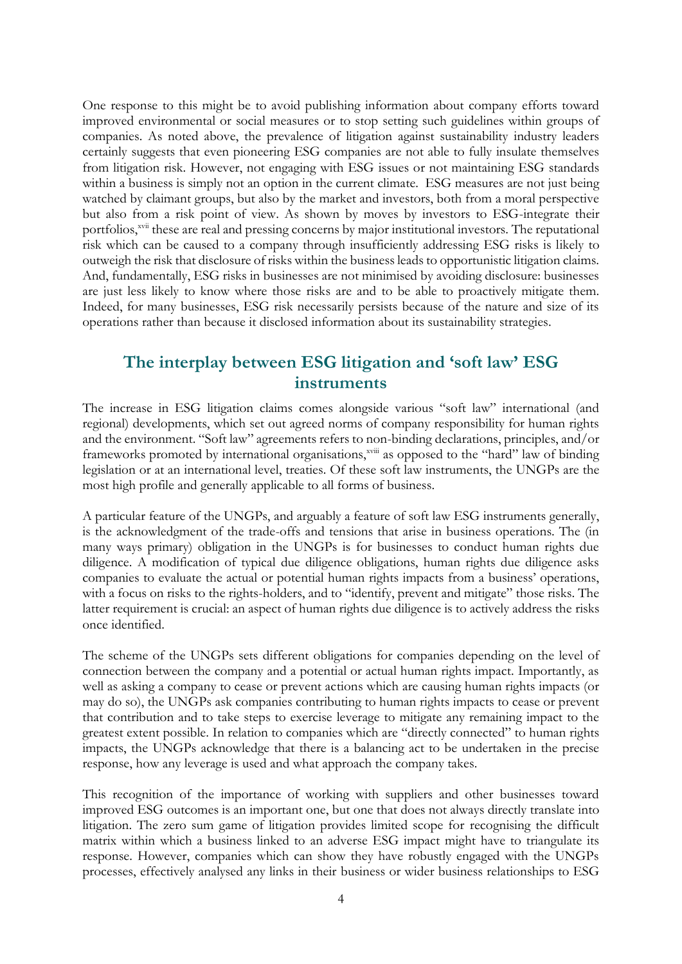One response to this might be to avoid publishing information about company efforts toward improved environmental or social measures or to stop setting such guidelines within groups of companies. As noted above, the prevalence of litigation against sustainability industry leaders certainly suggests that even pioneering ESG companies are not able to fully insulate themselves from litigation risk. However, not engaging with ESG issues or not maintaining ESG standards within a business is simply not an option in the current climate. ESG measures are not just being watched by claimant groups, but also by the market and investors, both from a moral perspective but also from a risk point of view. As shown by moves by investors to ESG-integrate their portfolios,<sup>xvii</sup> these are real and pressing concerns by major institutional investors. The reputational risk which can be caused to a company through insufficiently addressing ESG risks is likely to outweigh the risk that disclosure of risks within the business leads to opportunistic litigation claims. And, fundamentally, ESG risks in businesses are not minimised by avoiding disclosure: businesses are just less likely to know where those risks are and to be able to proactively mitigate them. Indeed, for many businesses, ESG risk necessarily persists because of the nature and size of its operations rather than because it disclosed information about its sustainability strategies.

#### **The interplay between ESG litigation and 'soft law' ESG instruments**

The increase in ESG litigation claims comes alongside various "soft law" international (and regional) developments, which set out agreed norms of company responsibility for human rights and the environment. "Soft law" agreements refers to non-binding declarations, principles, and/or frameworks promoted by international organisations,<sup>xviii</sup> as opposed to the "hard" law of binding legislation or at an international level, treaties. Of these soft law instruments, the UNGPs are the most high profile and generally applicable to all forms of business.

A particular feature of the UNGPs, and arguably a feature of soft law ESG instruments generally, is the acknowledgment of the trade-offs and tensions that arise in business operations. The (in many ways primary) obligation in the UNGPs is for businesses to conduct human rights due diligence. A modification of typical due diligence obligations, human rights due diligence asks companies to evaluate the actual or potential human rights impacts from a business' operations, with a focus on risks to the rights-holders, and to "identify, prevent and mitigate" those risks. The latter requirement is crucial: an aspect of human rights due diligence is to actively address the risks once identified.

The scheme of the UNGPs sets different obligations for companies depending on the level of connection between the company and a potential or actual human rights impact. Importantly, as well as asking a company to cease or prevent actions which are causing human rights impacts (or may do so), the UNGPs ask companies contributing to human rights impacts to cease or prevent that contribution and to take steps to exercise leverage to mitigate any remaining impact to the greatest extent possible. In relation to companies which are "directly connected" to human rights impacts, the UNGPs acknowledge that there is a balancing act to be undertaken in the precise response, how any leverage is used and what approach the company takes.

This recognition of the importance of working with suppliers and other businesses toward improved ESG outcomes is an important one, but one that does not always directly translate into litigation. The zero sum game of litigation provides limited scope for recognising the difficult matrix within which a business linked to an adverse ESG impact might have to triangulate its response. However, companies which can show they have robustly engaged with the UNGPs processes, effectively analysed any links in their business or wider business relationships to ESG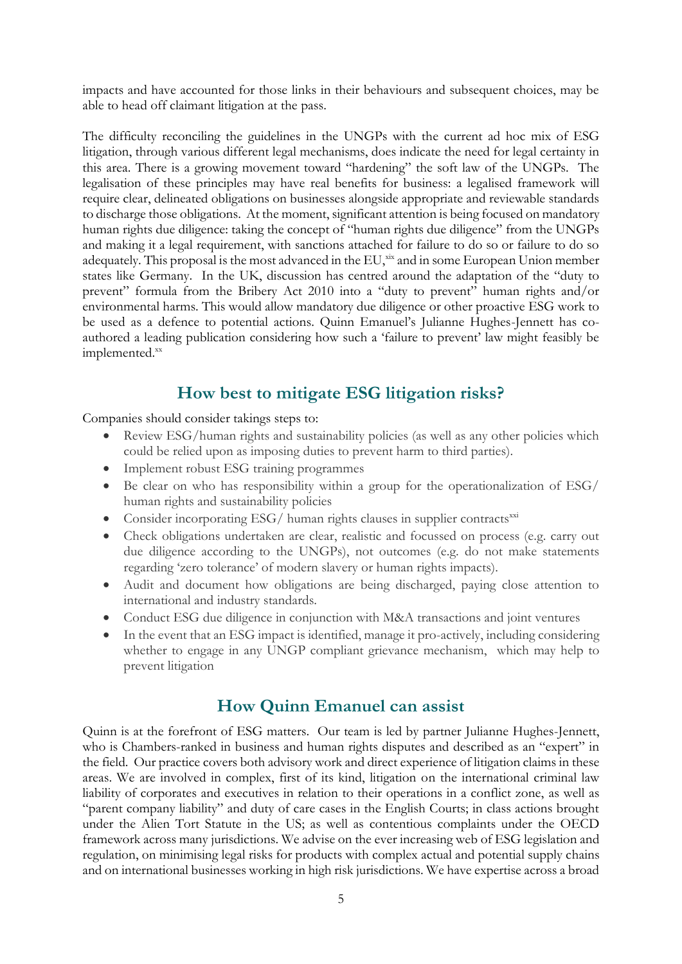impacts and have accounted for those links in their behaviours and subsequent choices, may be able to head off claimant litigation at the pass.

The difficulty reconciling the guidelines in the UNGPs with the current ad hoc mix of ESG litigation, through various different legal mechanisms, does indicate the need for legal certainty in this area. There is a growing movement toward "hardening" the soft law of the UNGPs. The legalisation of these principles may have real benefits for business: a legalised framework will require clear, delineated obligations on businesses alongside appropriate and reviewable standards to discharge those obligations. At the moment, significant attention is being focused on mandatory human rights due diligence: taking the concept of "human rights due diligence" from the UNGPs and making it a legal requirement, with sanctions attached for failure to do so or failure to do so adequately. This proposal is the most advanced in the EU, xix and in some European Union member states like Germany. In the UK, discussion has centred around the adaptation of the "duty to prevent" formula from the Bribery Act 2010 into a "duty to prevent" human rights and/or environmental harms. This would allow mandatory due diligence or other proactive ESG work to be used as a defence to potential actions. Quinn Emanuel's Julianne Hughes-Jennett has coauthored a leading publication considering how such a 'failure to prevent' law might feasibly be implemented.xx

### **How best to mitigate ESG litigation risks?**

Companies should consider takings steps to:

- Review ESG/human rights and sustainability policies (as well as any other policies which could be relied upon as imposing duties to prevent harm to third parties).
- Implement robust ESG training programmes
- Be clear on who has responsibility within a group for the operationalization of ESG/ human rights and sustainability policies
- Consider incorporating  $ESG/$  human rights clauses in supplier contracts<sup>xxi</sup>
- Check obligations undertaken are clear, realistic and focussed on process (e.g. carry out due diligence according to the UNGPs), not outcomes (e.g. do not make statements regarding 'zero tolerance' of modern slavery or human rights impacts).
- Audit and document how obligations are being discharged, paying close attention to international and industry standards.
- Conduct ESG due diligence in conjunction with M&A transactions and joint ventures
- In the event that an ESG impact is identified, manage it pro-actively, including considering whether to engage in any UNGP compliant grievance mechanism, which may help to prevent litigation

### **How Quinn Emanuel can assist**

Quinn is at the forefront of ESG matters. Our team is led by partner Julianne Hughes-Jennett, who is Chambers-ranked in business and human rights disputes and described as an "expert" in the field. Our practice covers both advisory work and direct experience of litigation claims in these areas. We are involved in complex, first of its kind, litigation on the international criminal law liability of corporates and executives in relation to their operations in a conflict zone, as well as "parent company liability" and duty of care cases in the English Courts; in class actions brought under the Alien Tort Statute in the US; as well as contentious complaints under the OECD framework across many jurisdictions. We advise on the ever increasing web of ESG legislation and regulation, on minimising legal risks for products with complex actual and potential supply chains and on international businesses working in high risk jurisdictions. We have expertise across a broad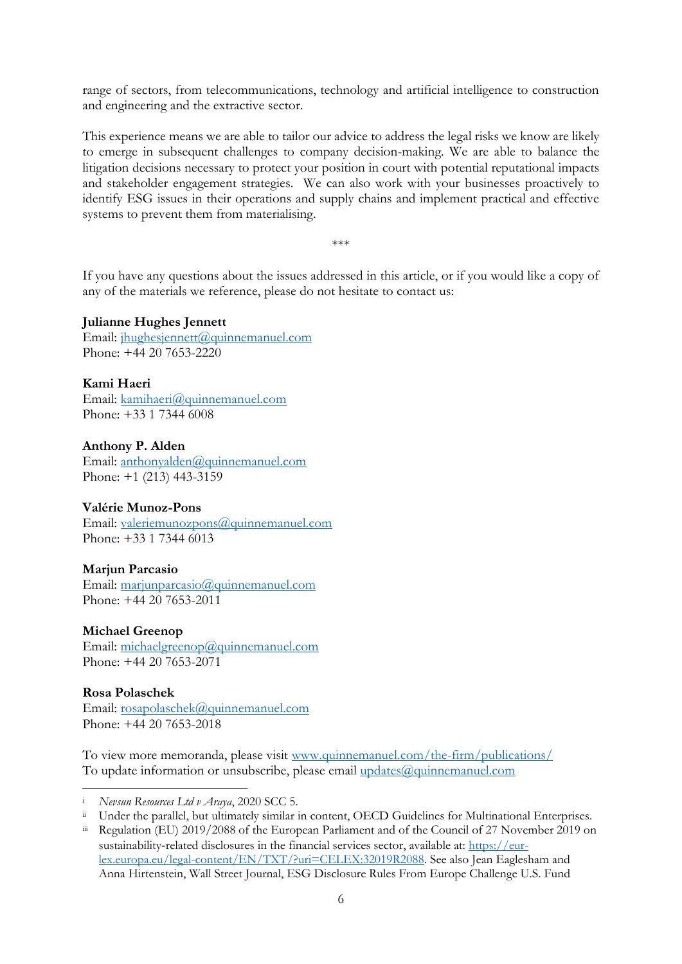range of sectors, from telecommunications, technology and artificial intelligence to construction and engineering and the extractive sector.

This experience means we are able to tailor our advice to address the legal risks we know are likely to emerge in subsequent challenges to company decision-making. We are able to balance the litigation decisions necessary to protect your position in court with potential reputational impacts and stakeholder engagement strategies. We can also work with your businesses proactively to identify ESG issues in their operations and supply chains and implement practical and effective systems to prevent them from materialising.

\*\*\*

If you have any questions about the issues addressed in this article, or if you would like a copy of any of the materials we reference, please do not hesitate to contact us:

#### **Julianne Hughes Jennett**

Email: [jhughesjennett@quinnemanuel.com](mailto:jhughesjennett@quinnemanuel.com) Phone: +44 20 7653-2220

**Kami Haeri** Email: [kamihaeri@quinnemanuel.com](mailto:kamihaeri@quinnemanuel.com) Phone: +33 1 7344 6008

**Anthony P. Alden** Email: [anthonyalden@quinnemanuel.com](mailto:anthonyalden@quinnemanuel.com) Phone: +1 (213) 443-3159

#### **Valérie Munoz-Pons**

Email: [valeriemunozpons@quinnemanuel.com](mailto:valeriemunozpons@quinnemanuel.com)  Phone: +33 1 7344 6013

#### **Marjun Parcasio**

Email: [marjunparcasio@quinnemanuel.com](mailto:marjunparcasio@quinnemanuel.com) Phone: +44 20 7653-2011

#### **Michael Greenop**

Email: [michaelgreenop@quinnemanuel.com](mailto:michaelgreenop@quinnemanuel.com) Phone: +44 20 7653-2071

#### **Rosa Polaschek**

-

Email: [rosapolaschek@quinnemanuel.com](mailto:rosapolaschek@quinnemanuel.com) Phone: +44 20 7653-2018

To view more memoranda, please visit [www.quinnemanuel.com/the-firm/publications/](http://www.quinnemanuel.com/the-firm/publications/) To update information or unsubscribe, please email [updates@quinnemanuel.com](mailto:updates@quinnemanuel.com)

<sup>i</sup> *Nevsun Resources Ltd v Araya*, 2020 SCC 5.

Under the parallel, but ultimately similar in content, OECD Guidelines for Multinational Enterprises.

Regulation (EU) 2019/2088 of the European Parliament and of the Council of 27 November 2019 on sustainability-related disclosures in the financial services sector, available at: [https://eur](https://eur-lex.europa.eu/legal-content/EN/TXT/?uri=CELEX:32019R2088)[lex.europa.eu/legal-content/EN/TXT/?uri=CELEX:32019R2088.](https://eur-lex.europa.eu/legal-content/EN/TXT/?uri=CELEX:32019R2088) See also Jean Eaglesham and Anna Hirtenstein, Wall Street Journal, ESG Disclosure Rules From Europe Challenge U.S. Fund